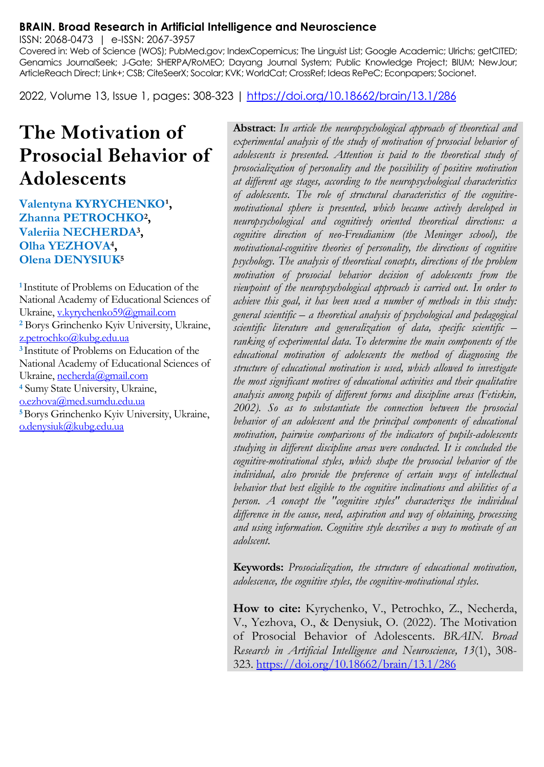#### **BRAIN. Broad Research in Artificial Intelligence and Neuroscience**

ISSN: 2068-0473 | e-ISSN: 2067-3957

Covered in: Web of Science (WOS); PubMed.gov; IndexCopernicus; The Linguist List; Google Academic; Ulrichs; getCITED; Genamics JournalSeek; J-Gate; SHERPA/RoMEO; Dayang Journal System; Public Knowledge Project; BIUM; NewJour; ArticleReach Direct; Link+; CSB; CiteSeerX; Socolar; KVK; WorldCat; CrossRef; Ideas RePeC; Econpapers; Socionet.

2022, Volume 13, Issue 1, pages: 308-323 |<https://doi.org/10.18662/brain/13.1/286>

# **The Motivation of Prosocial Behavior of Adolescents**

**Valentyna KYRYCHENKO<sup>1</sup>, Zhanna PETROCHKO<sup>2</sup> , Valeriia NECHERDA<sup>3</sup> , Olha YEZHOVA<sup>4</sup> , Olena DENYSIUK<sup>5</sup>**

**<sup>1</sup>**Institute of Problems on Education of the National Academy of Educational Sciences of Ukraine[, v.kyrychenko59@gmail.com](mailto:v.kyrychenko59@gmail.com) **<sup>2</sup>** Borys Grinchenko Kyiv University, Ukraine, [z.petrochko@kubg.edu.ua](mailto:z.petrochko@kubg.edu.ua)  **<sup>3</sup>**Institute of Problems on Education of the National Academy of Educational Sciences of Ukraine[, necherda@gmail.com](mailto:necherda@gmail.com)  **<sup>4</sup>** Sumy State University, Ukraine, [o.ezhova@med.sumdu.edu.ua](mailto:o.ezhova@med.sumdu.edu.ua) **<sup>5</sup>**Borys Grinchenko Kyiv University, Ukraine, [o.denysiuk@kubg.edu.ua](mailto:o.denysiuk@kubg.edu.ua) 

**Abstract**: *In article the neuropsychological approach of theoretical and experimental analysis of the study of motivation of prosocial behavior of adolescents is presented. Attention is paid to the theoretical study of prosocialization of personality and the possibility of positive motivation at different age stages, according to the neuropsychological characteristics of adolescents. The role of structural characteristics of the cognitivemotivational sphere is presented, which became actively developed in neuropsychological and cognitively oriented theoretical directions: a cognitive direction of neo-Freudianism (the Meninger school), the motivational-cognitive theories of personality, the directions of cognitive psychology. The analysis of theoretical concepts, directions of the problem motivation of prosocial behavior decision of adolescents from the viewpoint of the neuropsychological approach is carried out. In order to achieve this goal, it has been used a number of methods in this study: general scientific – a theoretical analysis of psychological and pedagogical scientific literature and generalization of data, specific scientific – ranking of experimental data. To determine the main components of the educational motivation of adolescents the method of diagnosing the structure of educational motivation is used, which allowed to investigate the most significant motives of educational activities and their qualitative analysis among pupils of different forms and discipline areas (Fetiskin, 2002). So as to substantiate the connection between the prosocial behavior of an adolescent and the principal components of educational motivation, pairwise comparisons of the indicators of pupils-adolescents studying in different discipline areas were conducted. It is concluded the cognitive-motivational styles, which shape the prosocial behavior of the individual, also provide the preference of certain ways of intellectual behavior that best eligible to the cognitive inclinations and abilities of a person. A concept the "cognitive styles" characterizes the individual difference in the cause, need, aspiration and way of obtaining, processing and using information. Cognitive style describes a way to motivate of an adolscent.*

**Keywords:** *Prosocialization, the structure of educational motivation, adolescence, the cognitive styles, the cognitive-motivational styles.*

**How to cite:** Kyrychenko, V., Petrochko, Z., Necherda, V., Yezhova, O., & Denysiuk, O. (2022). The Motivation of Prosocial Behavior of Adolescents. *BRAIN. Broad Research in Artificial Intelligence and Neuroscience, 13*(1), 308- 323.<https://doi.org/10.18662/brain/13.1/286>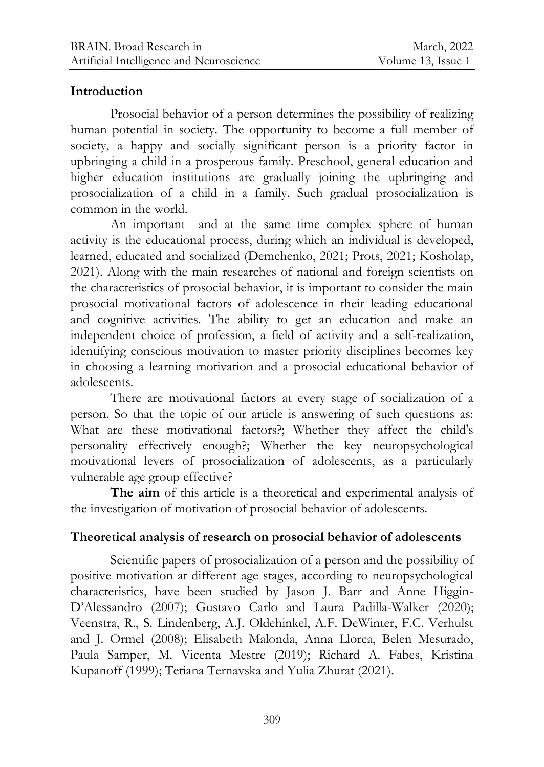#### **Introduction**

Prosocial behavior of a person determines the possibility of realizing human potential in society. The opportunity to become a full member of society, a happy and socially significant person is a priority factor in upbringing a child in a prosperous family. Preschool, general education and higher education institutions are gradually joining the upbringing and prosocialization of a child in a family. Such gradual prosocialization is common in the world.

An important and at the same time complex sphere of human activity is the educational process, during which an individual is developed, learned, educated and socialized (Demchenko, 2021; Prots, 2021; Kosholap, 2021). Along with the main researches of national and foreign scientists on the characteristics of prosocial behavior, it is important to consider the main prosocial motivational factors of adolescence in their leading educational and cognitive activities. The ability to get an education and make an independent choice of profession, a field of activity and a self-realization, identifying conscious motivation to master priority disciplines becomes key in choosing a learning motivation and a prosocial educational behavior of adolescents.

There are motivational factors at every stage of socialization of a person. So that the topic of our article is answering of such questions as: What are these motivational factors?; Whether they affect the child's personality effectively enough?; Whether the key neuropsychological motivational levers of prosocialization of adolescents, as a particularly vulnerable age group effective?

**The aim** of this article is a theoretical and experimental analysis of the investigation of motivation of prosocial behavior of adolescents.

## **Theoretical analysis of research on prosocial behavior of adolescents**

Scientific papers of prosocialization of a person and the possibility of positive motivation at different age stages, according to neuropsychological characteristics, have been studied by Jason J. Barr and Anne Higgin-D'Alessandro (2007); Gustavo Carlo and Laura Padilla-Walker (2020); Veenstra, R., S. Lindenberg, A.J. Oldehinkel, A.F. DeWinter, F.C. Verhulst and J. Ormel (2008); Elisabeth Malonda, Anna Llorca, Belen Mesurado, Paula Samper, M. Vicenta Mestre (2019); Richard A. Fabes, Kristina Kupanoff (1999); Tetiana Ternavska and Yulia Zhurat (2021).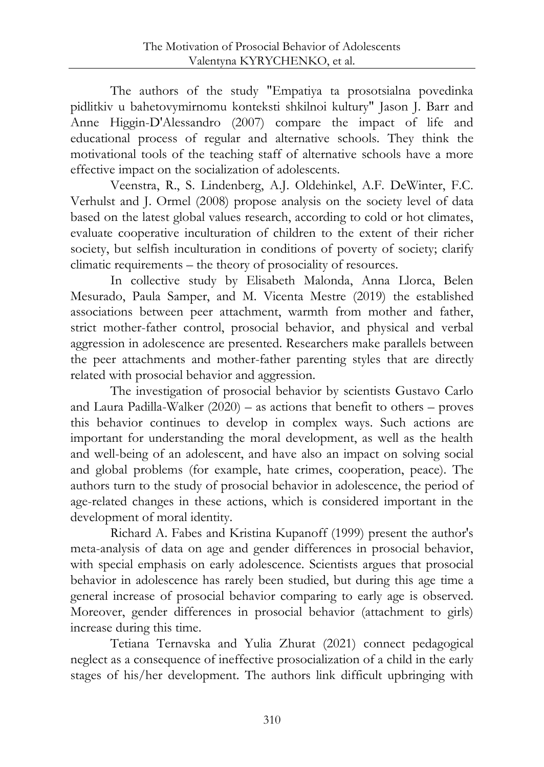The authors of the study "Empatiya ta prosotsialna povedinka pidlitkiv u bahetovymirnomu konteksti shkilnoi kultury" Jason J. Barr and Anne Higgin-D'Alessandro (2007) compare the impact of life and educational process of regular and alternative schools. They think the motivational tools of the teaching staff of alternative schools have a more effective impact on the socialization of adolescents.

Veenstra, R., S. Lindenberg, A.J. Oldehinkel, A.F. DeWinter, F.C. Verhulst and J. Ormel (2008) propose analysis on the society level of data based on the latest global values research, according to cold or hot climates, evaluate cooperative inculturation of children to the extent of their richer society, but selfish inculturation in conditions of poverty of society; clarify climatic requirements – the theory of prosociality of resources.

In collective study by Elisabeth Malonda, Anna Llorca, Belen Mesurado, Paula Samper, and M. Vicenta Mestre (2019) the established associations between peer attachment, warmth from mother and father, strict mother-father control, prosocial behavior, and physical and verbal aggression in adolescence are presented. Researchers make parallels between the peer attachments and mother-father parenting styles that are directly related with prosocial behavior and aggression.

The investigation of prosocial behavior by scientists Gustavo Carlo and Laura Padilla-Walker (2020) – as actions that benefit to others – proves this behavior continues to develop in complex ways. Such actions are important for understanding the moral development, as well as the health and well-being of an adolescent, and have also an impact on solving social and global problems (for example, hate crimes, cooperation, peace). The authors turn to the study of prosocial behavior in adolescence, the period of age-related changes in these actions, which is considered important in the development of moral identity.

Richard A. Fabes and Kristina Kupanoff (1999) present the author's meta-analysis of data on age and gender differences in prosocial behavior, with special emphasis on early adolescence. Scientists argues that prosocial behavior in adolescence has rarely been studied, but during this age time a general increase of prosocial behavior comparing to early age is observed. Moreover, gender differences in prosocial behavior (attachment to girls) increase during this time.

Tetiana Ternavska and Yulia Zhurat (2021) connect pedagogical neglect as a consequence of ineffective prosocialization of a child in the early stages of his/her development. The authors link difficult upbringing with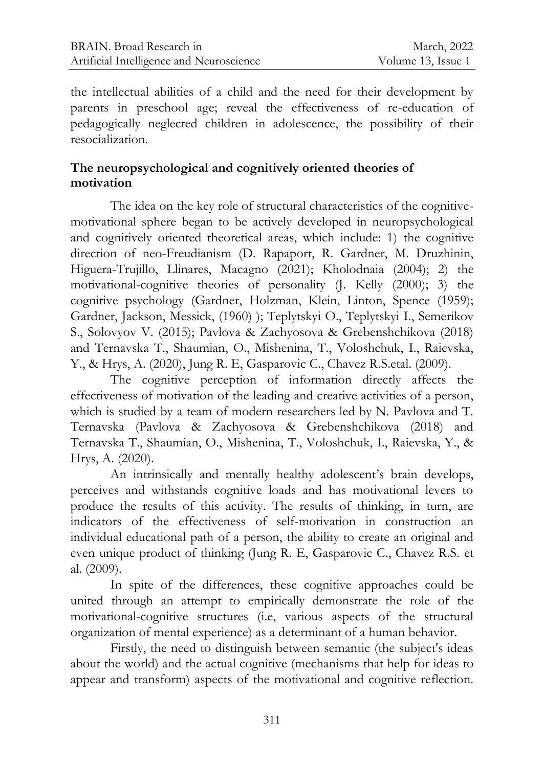the intellectual abilities of a child and the need for their development by parents in preschool age; reveal the effectiveness of re-education of pedagogically neglected children in adolescence, the possibility of their resocialization.

# **The neuropsychological and cognitively oriented theories of motivation**

The idea on the key role of structural characteristics of the cognitivemotivational sphere began to be actively developed in neuropsychological and cognitively oriented theoretical areas, which include: 1) the cognitive direction of neo-Freudianism (D. Rapaport, R. Gardner, M. Druzhinin, Higuera-Trujillo, Llinares, Macagno (2021); Kholodnaia (2004); 2) the motivational-cognitive theories of personality (J. Kelly (2000); 3) the cognitive psychology (Gardner, Holzman, Klein, Linton, Spence (1959); Gardner, Jackson, Messick, (1960) ); Teplytskyi O., Teplytskyi I., Semerikov S., Solovyov V. (2015); Pavlova & Zachyosova & Grebenshchikova (2018) and Ternavska T., Shaumian, O., Mishenina, T., Voloshchuk, I., Raievska, Y., & Hrys, A. (2020), Jung R. E, Gasparovic C., Chavez R.S.etal. (2009).

The cognitive perception of information directly affects the effectiveness of motivation of the leading and creative activities of a person, which is studied by a team of modern researchers led by N. Pavlova and T. Ternavska (Pavlova & Zachyosova & Grebenshchikova (2018) and Ternavska T., Shaumian, O., Mishenina, T., Voloshchuk, I., Raievska, Y., & Hrys, A. (2020).

An intrinsically and mentally healthy adolescent's brain develops, perceives and withstands cognitive loads and has motivational levers to produce the results of this activity. The results of thinking, in turn, are indicators of the effectiveness of self-motivation in construction an individual educational path of a person, the ability to create an original and even unique product of thinking (Jung R. E, Gasparovic C., Chavez R.S. et al. (2009).

In spite of the differences, these cognitive approaches could be united through an attempt to empirically demonstrate the role of the motivational-cognitive structures (i.e, various aspects of the structural organization of mental experience) as a determinant of a human behavior.

Firstly, the need to distinguish between semantic (the subject's ideas about the world) and the actual cognitive (mechanisms that help for ideas to appear and transform) aspects of the motivational and cognitive reflection.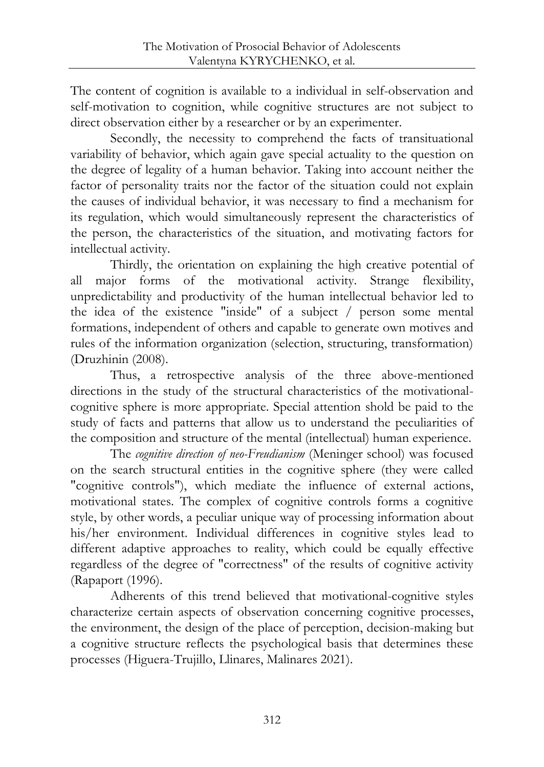The content of cognition is available to a individual in self-observation and self-motivation to cognition, while cognitive structures are not subject to direct observation either by a researcher or by an experimenter.

Secondly, the necessity to comprehend the facts of transituational variability of behavior, which again gave special actuality to the question on the degree of legality of a human behavior. Taking into account neither the factor of personality traits nor the factor of the situation could not explain the causes of individual behavior, it was necessary to find a mechanism for its regulation, which would simultaneously represent the characteristics of the person, the characteristics of the situation, and motivating factors for intellectual activity.

Thirdly, the orientation on explaining the high creative potential of all major forms of the motivational activity. Strange flexibility, unpredictability and productivity of the human intellectual behavior led to the idea of the existence "inside" of a subject / person some mental formations, independent of others and capable to generate own motives and rules of the information organization (selection, structuring, transformation) (Druzhinin (2008).

Thus, a retrospective analysis of the three above-mentioned directions in the study of the structural characteristics of the motivationalcognitive sphere is more appropriate. Special attention shold be paid to the study of facts and patterns that allow us to understand the peculiarities of the composition and structure of the mental (intellectual) human experience.

The *cognitive direction of neo-Freudianism* (Meninger school) was focused on the search structural entities in the cognitive sphere (they were called "cognitive controls"), which mediate the influence of external actions, motivational states. The complex of cognitive controls forms a cognitive style, by other words, a peculiar unique way of processing information about his/her environment. Individual differences in cognitive styles lead to different adaptive approaches to reality, which could be equally effective regardless of the degree of "correctness" of the results of cognitive activity (Rapaport (1996).

Adherents of this trend believed that motivational-cognitive styles characterize certain aspects of observation concerning cognitive processes, the environment, the design of the place of perception, decision-making but a cognitive structure reflects the psychological basis that determines these processes (Higuera-Trujillo, Llinares, Malinares 2021).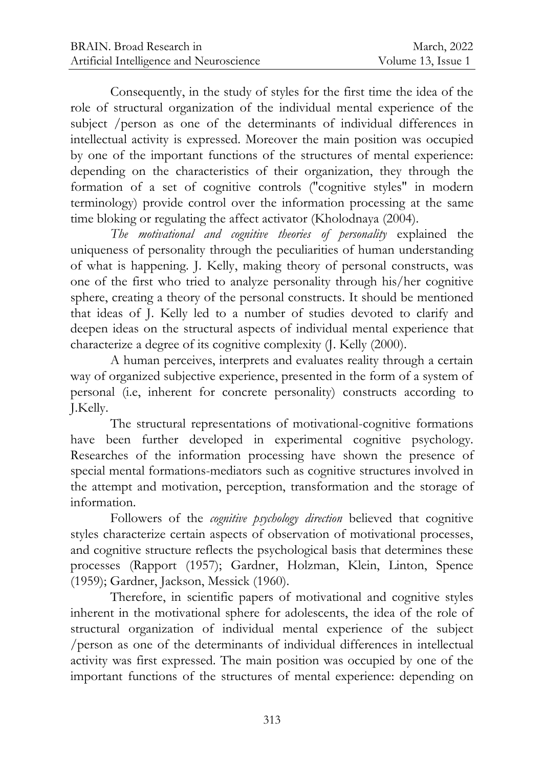Consequently, in the study of styles for the first time the idea of the role of structural organization of the individual mental experience of the subject /person as one of the determinants of individual differences in intellectual activity is expressed. Moreover the main position was occupied by one of the important functions of the structures of mental experience: depending on the characteristics of their organization, they through the formation of a set of cognitive controls ("cognitive styles" in modern terminology) provide control over the information processing at the same time bloking or regulating the affect activator (Kholodnaya (2004).

*The motivational and cognitive theories of personality* explained the uniqueness of personality through the peculiarities of human understanding of what is happening. J. Kelly, making theory of personal constructs, was one of the first who tried to analyze personality through his/her cognitive sphere, creating a theory of the personal constructs. It should be mentioned that ideas of J. Kelly led to a number of studies devoted to clarify and deepen ideas on the structural aspects of individual mental experience that characterize a degree of its cognitive complexity (J. Kelly (2000).

A human perceives, interprets and evaluates reality through a certain way of organized subjective experience, presented in the form of a system of personal (i.e, inherent for concrete personality) constructs according to J.Kelly.

The structural representations of motivational-cognitive formations have been further developed in experimental cognitive psychology. Researches of the information processing have shown the presence of special mental formations-mediators such as cognitive structures involved in the attempt and motivation, perception, transformation and the storage of information.

Followers of the *cognitive psychology direction* believed that cognitive styles characterize certain aspects of observation of motivational processes, and cognitive structure reflects the psychological basis that determines these processes (Rapport (1957); Gardner, Holzman, Klein, Linton, Spence (1959); Gardner, Jackson, Messick (1960).

Therefore, in scientific papers of motivational and cognitive styles inherent in the motivational sphere for adolescents, the idea of the role of structural organization of individual mental experience of the subject /person as one of the determinants of individual differences in intellectual activity was first expressed. The main position was occupied by one of the important functions of the structures of mental experience: depending on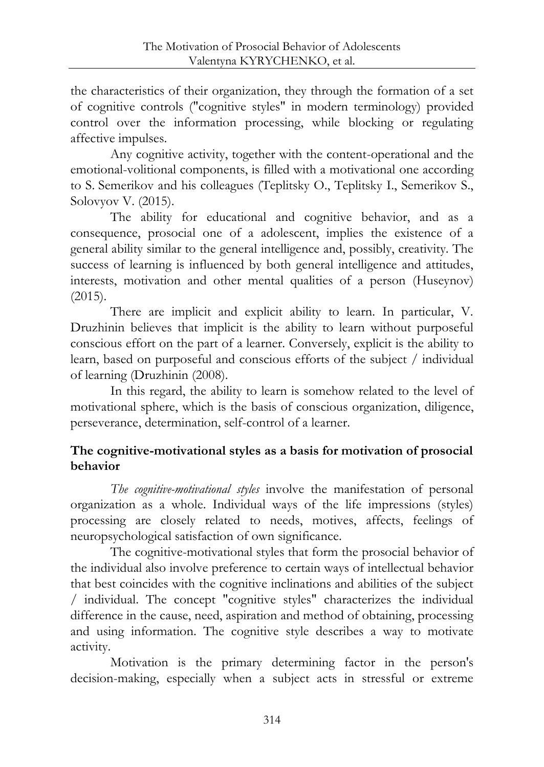the characteristics of their organization, they through the formation of a set of cognitive controls ("cognitive styles" in modern terminology) provided control over the information processing, while blocking or regulating affective impulses.

Any cognitive activity, together with the content-operational and the emotional-volitional components, is filled with a motivational one according to S. Semerikov and his colleagues (Teplitsky O., Teplitsky I., Semerikov S., Solovyov V. (2015).

The ability for educational and cognitive behavior, and as a consequence, prosocial one of a adolescent, implies the existence of a general ability similar to the general intelligence and, possibly, creativity. The success of learning is influenced by both general intelligence and attitudes, interests, motivation and other mental qualities of a person (Huseynov) (2015).

There are implicit and explicit ability to learn. In particular, V. Druzhinin believes that implicit is the ability to learn without purposeful conscious effort on the part of a learner. Conversely, explicit is the ability to learn, based on purposeful and conscious efforts of the subject / individual of learning (Druzhinin (2008).

In this regard, the ability to learn is somehow related to the level of motivational sphere, which is the basis of conscious organization, diligence, perseverance, determination, self-control of a learner.

# **The cognitive-motivational styles as a basis for motivation of prosocial behavior**

*The cognitive-motivational styles* involve the manifestation of personal organization as a whole. Individual ways of the life impressions (styles) processing are closely related to needs, motives, affects, feelings of neuropsychological satisfaction of own significance.

The cognitive-motivational styles that form the prosocial behavior of the individual also involve preference to certain ways of intellectual behavior that best coincides with the cognitive inclinations and abilities of the subject / individual. The concept "cognitive styles" characterizes the individual difference in the cause, need, aspiration and method of obtaining, processing and using information. The cognitive style describes a way to motivate activity.

Motivation is the primary determining factor in the person's decision-making, especially when a subject acts in stressful or extreme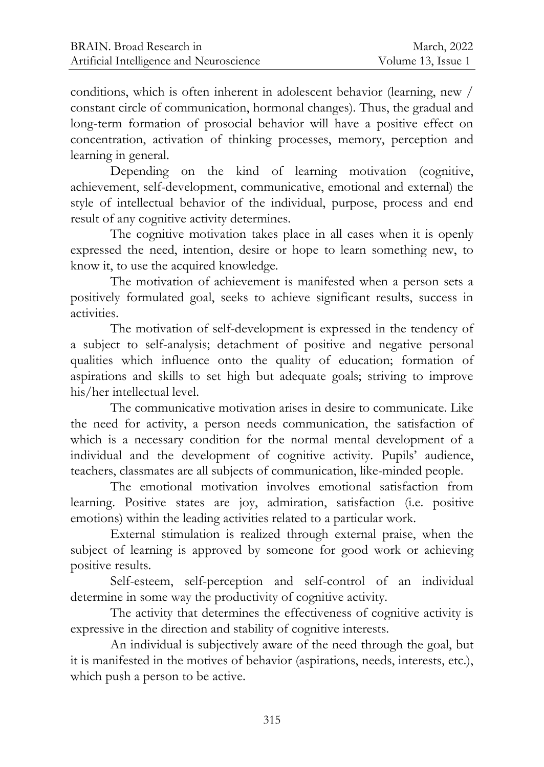conditions, which is often inherent in adolescent behavior (learning, new / constant circle of communication, hormonal changes). Thus, the gradual and long-term formation of prosocial behavior will have a positive effect on concentration, activation of thinking processes, memory, perception and learning in general.

Depending on the kind of learning motivation (cognitive, achievement, self-development, communicative, emotional and external) the style of intellectual behavior of the individual, purpose, process and end result of any cognitive activity determines.

The cognitive motivation takes place in all cases when it is openly expressed the need, intention, desire or hope to learn something new, to know it, to use the acquired knowledge.

The motivation of achievement is manifested when a person sets a positively formulated goal, seeks to achieve significant results, success in activities.

The motivation of self-development is expressed in the tendency of a subject to self-analysis; detachment of positive and negative personal qualities which influence onto the quality of education; formation of aspirations and skills to set high but adequate goals; striving to improve his/her intellectual level.

The communicative motivation arises in desire to communicate. Like the need for activity, a person needs communication, the satisfaction of which is a necessary condition for the normal mental development of a individual and the development of cognitive activity. Pupils' audience, teachers, classmates are all subjects of communication, like-minded people.

The emotional motivation involves emotional satisfaction from learning. Positive states are joy, admiration, satisfaction (i.e. positive emotions) within the leading activities related to a particular work.

External stimulation is realized through external praise, when the subject of learning is approved by someone for good work or achieving positive results.

Self-esteem, self-perception and self-control of an individual determine in some way the productivity of cognitive activity.

The activity that determines the effectiveness of cognitive activity is expressive in the direction and stability of cognitive interests.

An individual is subjectively aware of the need through the goal, but it is manifested in the motives of behavior (aspirations, needs, interests, etc.), which push a person to be active.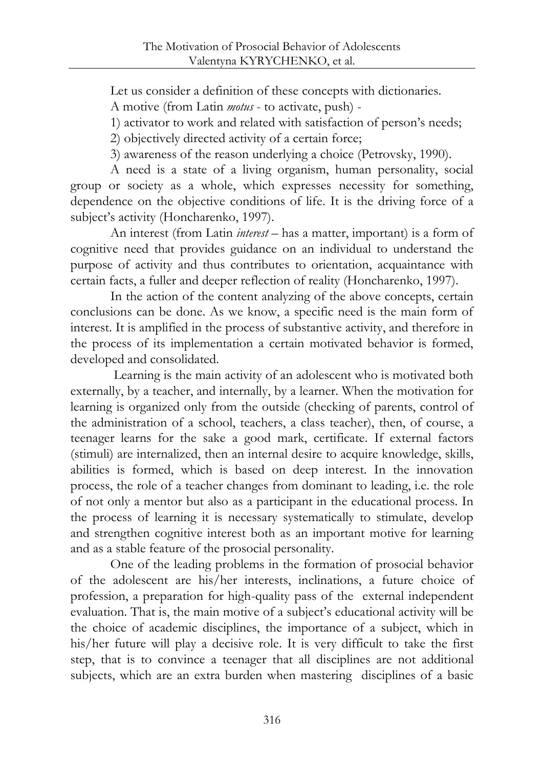Let us consider a definition of these concepts with dictionaries.

A motive (from Latin *motus* - to activate, push) -

1) activator to work and related with satisfaction of person's needs;

2) objectively directed activity of a certain force;

3) awareness of the reason underlying a choice (Petrovsky, 1990).

A need is a state of a living organism, human personality, social group or society as a whole, which expresses necessity for something, dependence on the objective conditions of life. It is the driving force of a subject's activity (Honcharenko, 1997).

An interest (from Latin *interest* – has a matter, important) is a form of cognitive need that provides guidance on an individual to understand the purpose of activity and thus contributes to orientation, acquaintance with certain facts, a fuller and deeper reflection of reality (Honcharenko, 1997).

In the action of the content analyzing of the above concepts, certain conclusions can be done. As we know, a specific need is the main form of interest. It is amplified in the process of substantive activity, and therefore in the process of its implementation a certain motivated behavior is formed, developed and consolidated.

Learning is the main activity of an adolescent who is motivated both externally, by a teacher, and internally, by a learner. When the motivation for learning is organized only from the outside (checking of parents, control of the administration of a school, teachers, a class teacher), then, of course, a teenager learns for the sake a good mark, certificate. If external factors (stimuli) are internalized, then an internal desire to acquire knowledge, skills, abilities is formed, which is based on deep interest. In the innovation process, the role of a teacher changes from dominant to leading, i.e. the role of not only a mentor but also as a participant in the educational process. In the process of learning it is necessary systematically to stimulate, develop and strengthen cognitive interest both as an important motive for learning and as a stable feature of the prosocial personality.

One of the leading problems in the formation of prosocial behavior of the adolescent are his/her interests, inclinations, a future choice of profession, a preparation for high-quality pass of the external independent evaluation. That is, the main motive of a subject's educational activity will be the choice of academic disciplines, the importance of a subject, which in his/her future will play a decisive role. It is very difficult to take the first step, that is to convince a teenager that all disciplines are not additional subjects, which are an extra burden when mastering disciplines of a basic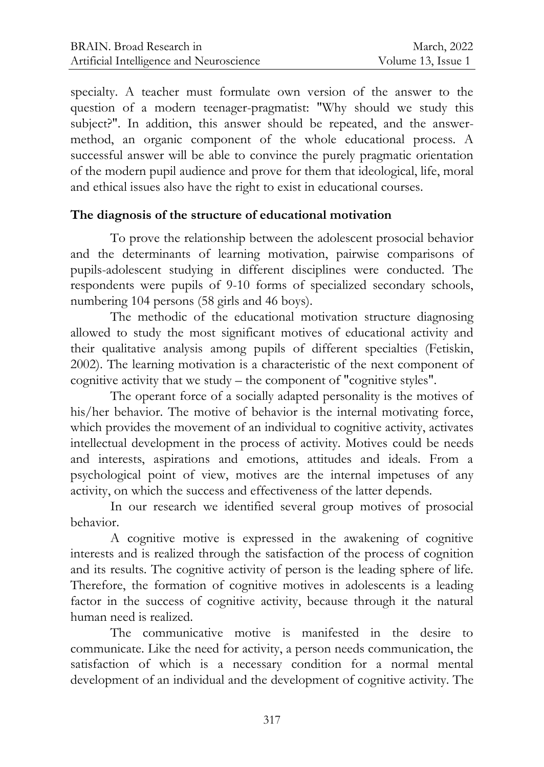specialty. A teacher must formulate own version of the answer to the question of a modern teenager-pragmatist: "Why should we study this subject?". In addition, this answer should be repeated, and the answermethod, an organic component of the whole educational process. A successful answer will be able to convince the purely pragmatic orientation of the modern pupil audience and prove for them that ideological, life, moral and ethical issues also have the right to exist in educational courses.

#### **The diagnosis of the structure of educational motivation**

To prove the relationship between the adolescent prosocial behavior and the determinants of learning motivation, pairwise comparisons of pupils-adolescent studying in different disciplines were conducted. The respondents were pupils of 9-10 forms of specialized secondary schools, numbering 104 persons (58 girls and 46 boys).

The methodic of the educational motivation structure diagnosing allowed to study the most significant motives of educational activity and their qualitative analysis among pupils of different specialties (Fetiskin, 2002). The learning motivation is a characteristic of the next component of cognitive activity that we study – the component of "cognitive styles".

The operant force of a socially adapted personality is the motives of his/her behavior. The motive of behavior is the internal motivating force, which provides the movement of an individual to cognitive activity, activates intellectual development in the process of activity. Motives could be needs and interests, aspirations and emotions, attitudes and ideals. From a psychological point of view, motives are the internal impetuses of any activity, on which the success and effectiveness of the latter depends.

In our research we identified several group motives of prosocial behavior.

A cognitive motive is expressed in the awakening of cognitive interests and is realized through the satisfaction of the process of cognition and its results. The cognitive activity of person is the leading sphere of life. Therefore, the formation of cognitive motives in adolescents is a leading factor in the success of cognitive activity, because through it the natural human need is realized.

The communicative motive is manifested in the desire to communicate. Like the need for activity, a person needs communication, the satisfaction of which is a necessary condition for a normal mental development of an individual and the development of cognitive activity. The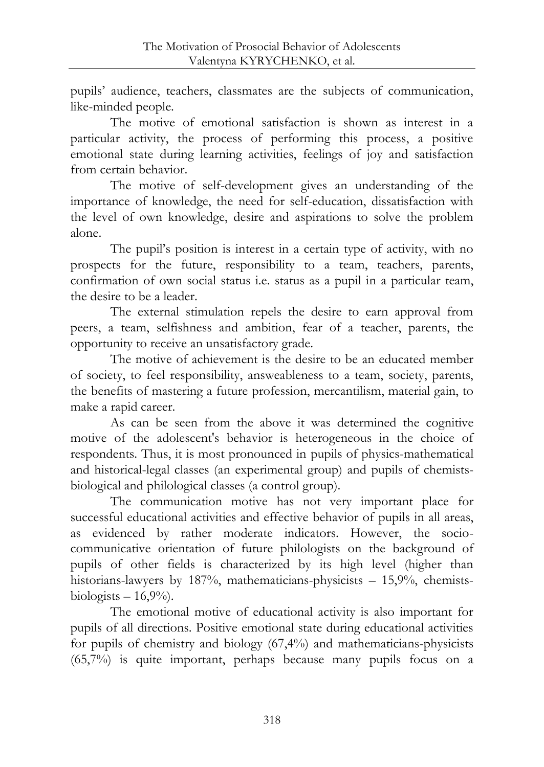pupils' audience, teachers, classmates are the subjects of communication, like-minded people.

The motive of emotional satisfaction is shown as interest in a particular activity, the process of performing this process, a positive emotional state during learning activities, feelings of joy and satisfaction from certain behavior.

The motive of self-development gives an understanding of the importance of knowledge, the need for self-education, dissatisfaction with the level of own knowledge, desire and aspirations to solve the problem alone.

The pupil's position is interest in a certain type of activity, with no prospects for the future, responsibility to a team, teachers, parents, confirmation of own social status i.e. status as a pupil in a particular team, the desire to be a leader.

The external stimulation repels the desire to earn approval from peers, a team, selfishness and ambition, fear of a teacher, parents, the opportunity to receive an unsatisfactory grade.

The motive of achievement is the desire to be an educated member of society, to feel responsibility, answeableness to a team, society, parents, the benefits of mastering a future profession, mercantilism, material gain, to make a rapid career.

As can be seen from the above it was determined the cognitive motive of the adolescent's behavior is heterogeneous in the choice of respondents. Thus, it is most pronounced in pupils of physics-mathematical and historical-legal classes (an experimental group) and pupils of chemistsbiological and philological classes (a control group).

The communication motive has not very important place for successful educational activities and effective behavior of pupils in all areas, as evidenced by rather moderate indicators. However, the sociocommunicative orientation of future philologists on the background of pupils of other fields is characterized by its high level (higher than historians-lawyers by 187%, mathematicians-physicists – 15,9%, chemistsbiologists  $-16,9%$ .

The emotional motive of educational activity is also important for pupils of all directions. Positive emotional state during educational activities for pupils of chemistry and biology (67,4%) and mathematicians-physicists (65,7%) is quite important, perhaps because many pupils focus on a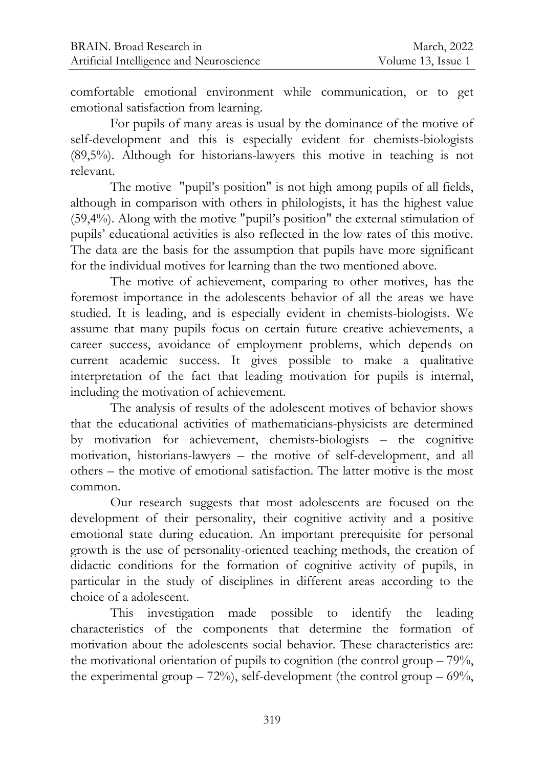comfortable emotional environment while communication, or to get emotional satisfaction from learning.

For pupils of many areas is usual by the dominance of the motive of self-development and this is especially evident for chemists-biologists (89,5%). Although for historians-lawyers this motive in teaching is not relevant.

The motive "pupil's position" is not high among pupils of all fields, although in comparison with others in philologists, it has the highest value (59,4%). Along with the motive "pupil's position" the external stimulation of pupils' educational activities is also reflected in the low rates of this motive. The data are the basis for the assumption that pupils have more significant for the individual motives for learning than the two mentioned above.

The motive of achievement, comparing to other motives, has the foremost importance in the adolescents behavior of all the areas we have studied. It is leading, and is especially evident in chemists-biologists. We assume that many pupils focus on certain future creative achievements, a career success, avoidance of employment problems, which depends on current academic success. It gives possible to make a qualitative interpretation of the fact that leading motivation for pupils is internal, including the motivation of achievement.

The analysis of results of the adolescent motives of behavior shows that the educational activities of mathematicians-physicists are determined by motivation for achievement, chemists-biologists – the cognitive motivation, historians-lawyers – the motive of self-development, and all others – the motive of emotional satisfaction. The latter motive is the most common.

Our research suggests that most adolescents are focused on the development of their personality, their cognitive activity and a positive emotional state during education. An important prerequisite for personal growth is the use of personality-oriented teaching methods, the creation of didactic conditions for the formation of cognitive activity of pupils, in particular in the study of disciplines in different areas according to the choice of a adolescent.

This investigation made possible to identify the leading characteristics of the components that determine the formation of motivation about the adolescents social behavior. These characteristics are: the motivational orientation of pupils to cognition (the control group  $-79\%$ , the experimental group  $-72\%$ ), self-development (the control group  $-69\%$ ,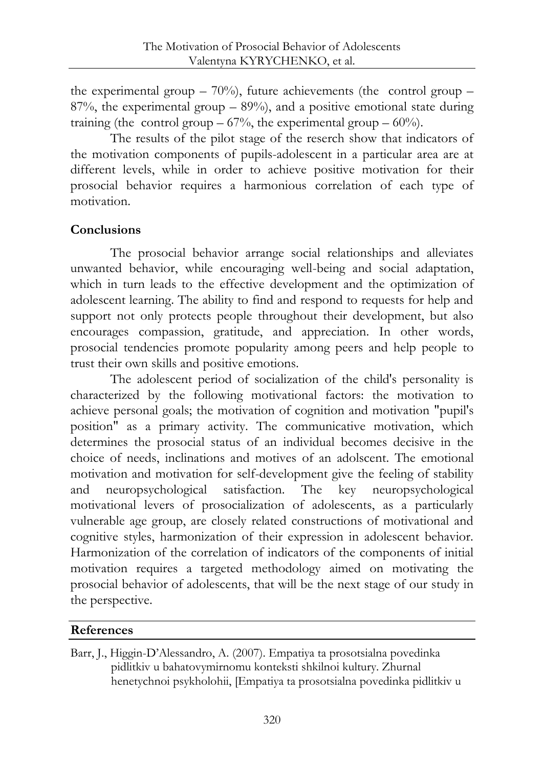the experimental group  $-70\%$ ), future achievements (the control group  $-$ 87%, the experimental group – 89%), and a positive emotional state during training (the control group –  $67\%$ , the experimental group –  $60\%$ ).

The results of the pilot stage of the reserch show that indicators of the motivation components of pupils-adolescent in a particular area are at different levels, while in order to achieve positive motivation for their prosocial behavior requires a harmonious correlation of each type of motivation.

# **Conclusions**

The prosocial behavior arrange social relationships and alleviates unwanted behavior, while encouraging well-being and social adaptation, which in turn leads to the effective development and the optimization of adolescent learning. The ability to find and respond to requests for help and support not only protects people throughout their development, but also encourages compassion, gratitude, and appreciation. In other words, prosocial tendencies promote popularity among peers and help people to trust their own skills and positive emotions.

The adolescent period of socialization of the child's personality is characterized by the following motivational factors: the motivation to achieve personal goals; the motivation of cognition and motivation "pupil's position" as a primary activity. The communicative motivation, which determines the prosocial status of an individual becomes decisive in the choice of needs, inclinations and motives of an adolscent. The emotional motivation and motivation for self-development give the feeling of stability and neuropsychological satisfaction. The key neuropsychological motivational levers of prosocialization of adolescents, as a particularly vulnerable age group, are closely related constructions of motivational and cognitive styles, harmonization of their expression in adolescent behavior. Harmonization of the correlation of indicators of the components of initial motivation requires a targeted methodology aimed on motivating the prosocial behavior of adolescents, that will be the next stage of our study in the perspective.

## **References**

Barr, J., Higgin-D'Alessandro, A. (2007). Empatiya ta prosotsialna povedinka pidlitkiv u bahatovymirnomu konteksti shkilnoi kultury. Zhurnal henetychnoi psykholohii, [Empatiya ta prosotsialna povedinka pidlitkiv u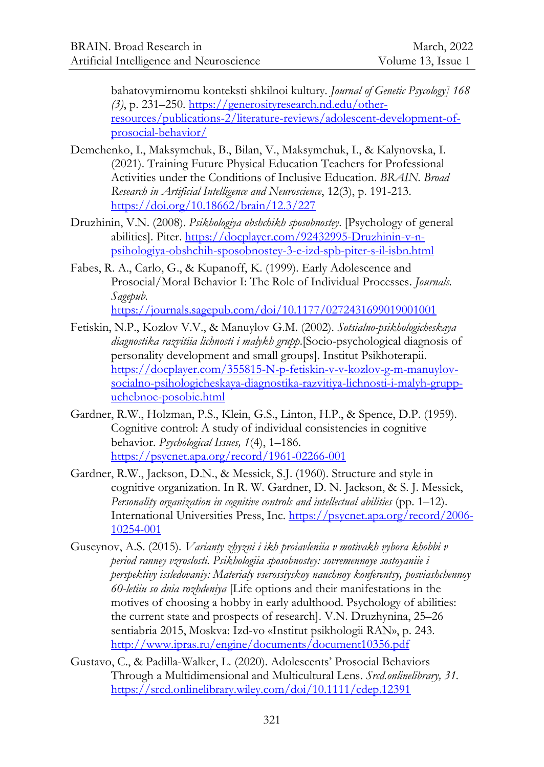bahatovymirnomu konteksti shkilnoi kultury*. Journal of Genetic Psycology] 168 (3)*, p. 231–250. [https://generosityresearch.nd.edu/other](https://generosityresearch.nd.edu/other-resources/publications-2/literature-reviews/adolescent-development-of-prosocial-behavior/)[resources/publications-2/literature-reviews/adolescent-development-of](https://generosityresearch.nd.edu/other-resources/publications-2/literature-reviews/adolescent-development-of-prosocial-behavior/)[prosocial-behavior/](https://generosityresearch.nd.edu/other-resources/publications-2/literature-reviews/adolescent-development-of-prosocial-behavior/)

- Demchenko, I., Maksymchuk, B., Bilan, V., Maksymchuk, I., & Kalynovska, I. (2021). Training Future Physical Education Teachers for Professional Activities under the Conditions of Inclusive Education. *BRAIN. Broad Research in Artificial Intelligence and Neuroscience*, 12(3), p. 191-213. <https://doi.org/10.18662/brain/12.3/227>
- Druzhinin, V.N. (2008). *Psikhologiya obshchikh sposobnostey*. [Psychology of general abilities]. Piter. [https://docplayer.com/92432995-Druzhinin-v-n](https://docplayer.com/92432995-Druzhinin-v-n-psihologiya-obshchih-sposobnostey-3-e-izd-spb-piter-s-il-isbn.html)[psihologiya-obshchih-sposobnostey-3-e-izd-spb-piter-s-il-isbn.html](https://docplayer.com/92432995-Druzhinin-v-n-psihologiya-obshchih-sposobnostey-3-e-izd-spb-piter-s-il-isbn.html)
- Fabes, R. A., Carlo, G., & Kupanoff, K. (1999). Early Adolescence and Prosocial/Moral Behavior I: The Role of Individual Processes. *Journals. Sagepub.* <https://journals.sagepub.com/doi/10.1177/0272431699019001001>
- Fetiskin, N.P., Kozlov V.V., & Manuylov G.M. (2002). *Sotsialno-psikhologicheskaya diagnostika razvitiia lichnosti i malykh grupp*.[Socio-psychological diagnosis of personality development and small groups]. Institut Psikhoterapii. [https://docplayer.com/355815-N-p-fetiskin-v-v-kozlov-g-m-manuylov](https://docplayer.com/355815-N-p-fetiskin-v-v-kozlov-g-m-manuylov-socialno-psihologicheskaya-diagnostika-razvitiya-lichnosti-i-malyh-grupp-uchebnoe-posobie.html)[socialno-psihologicheskaya-diagnostika-razvitiya-lichnosti-i-malyh-grupp](https://docplayer.com/355815-N-p-fetiskin-v-v-kozlov-g-m-manuylov-socialno-psihologicheskaya-diagnostika-razvitiya-lichnosti-i-malyh-grupp-uchebnoe-posobie.html)[uchebnoe-posobie.html](https://docplayer.com/355815-N-p-fetiskin-v-v-kozlov-g-m-manuylov-socialno-psihologicheskaya-diagnostika-razvitiya-lichnosti-i-malyh-grupp-uchebnoe-posobie.html)
- Gardner, R.W., Holzman, P.S., Klein, G.S., Linton, H.P., & Spence, D.P. (1959). Cognitive control: A study of individual consistencies in cognitive behavior. *Psychological Issues, 1*(4), 1–186. <https://psycnet.apa.org/record/1961-02266-001>
- Gardner, R.W., Jackson, D.N., & Messick, S.J. (1960). Structure and style in cognitive organization. In R. W. Gardner, D. N. Jackson, & S. J. Messick, *Personality organization in cognitive controls and intellectual abilities* (pp. 1–12). International Universities Press, Inc. [https://psycnet.apa.org/record/2006-](https://psycnet.apa.org/record/2006-10254-001) [10254-001](https://psycnet.apa.org/record/2006-10254-001)
- Guseynov, A.S. (2015). *Varianty zhyzni i ikh proiavleniia v motivakh vybora khobbi v period ranney vzroslosti. Psikhologiia sposobnostey: sovremennoye sostoyaniie i perspektivy issledovaniy: Materialy vserossiyskoy nauchnoy konferentsy, posviashchennoy 60-letiiu so dnia rozhdeniya* [Life options and their manifestations in the motives of choosing a hobby in early adulthood. Psychology of abilities: the current state and prospects of research]. V.N. Druzhynina, 25–26 sentiabria 2015, Moskva: Izd-vo «Institut psikhologii RAN», p. 243. <http://www.ipras.ru/engine/documents/document10356.pdf>
- Gustavo, C., & Padilla-Walker, L. (2020). Adolescents' Prosocial Behaviors Through a Multidimensional and Multicultural Lens. *Srcd.onlinelibrary, 31.* <https://srcd.onlinelibrary.wiley.com/doi/10.1111/cdep.12391>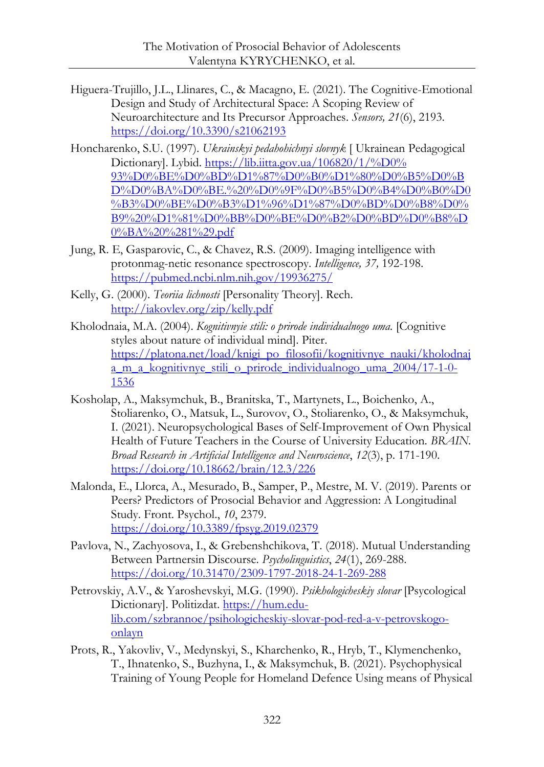- Higuera-Trujillo, J.L., Llinares, C., & Macagno, E. (2021). The Cognitive-Emotional Design and Study of Architectural Space: A Scoping Review of Neuroarchitecture and Its Precursor Approaches. *Sensors, 21*(6), 2193. <https://doi.org/10.3390/s21062193>
- Honcharenko, S.U. (1997). *Ukrainskyi pedahohichnyi slovnyk* [ Ukrainean Pedagogical Dictionary]. Lybid. https://lib.iitta.gov.ua/106820/1/%D0% [93%D0%BE%D0%BD%D1%87%D0%B0%D1%80%D0%B5%D0%B](https://lib.iitta.gov.ua/106820/1/%D0%25%2093%D0%BE%D0%BD%D1%87%D0%B0%D1%80%D0%B5%D0%BD%D0%BA%D0%BE.%20%D0%9F%D0%B5%D0%B4%D0%B0%D0%B3%D0%BE%D0%B3%D1%96%D1%87%D0%BD%D0%B8%D0%B9%20%D1%81%D0%BB%D0%BE%D0%B2%D0%BD%D0%B8%D0%BA%20%281%29.pdf) [D%D0%BA%D0%BE.%20%D0%9F%D0%B5%D0%B4%D0%B0%D0](https://lib.iitta.gov.ua/106820/1/%D0%25%2093%D0%BE%D0%BD%D1%87%D0%B0%D1%80%D0%B5%D0%BD%D0%BA%D0%BE.%20%D0%9F%D0%B5%D0%B4%D0%B0%D0%B3%D0%BE%D0%B3%D1%96%D1%87%D0%BD%D0%B8%D0%B9%20%D1%81%D0%BB%D0%BE%D0%B2%D0%BD%D0%B8%D0%BA%20%281%29.pdf) [%B3%D0%BE%D0%B3%D1%96%D1%87%D0%BD%D0%B8%D0%](https://lib.iitta.gov.ua/106820/1/%D0%25%2093%D0%BE%D0%BD%D1%87%D0%B0%D1%80%D0%B5%D0%BD%D0%BA%D0%BE.%20%D0%9F%D0%B5%D0%B4%D0%B0%D0%B3%D0%BE%D0%B3%D1%96%D1%87%D0%BD%D0%B8%D0%B9%20%D1%81%D0%BB%D0%BE%D0%B2%D0%BD%D0%B8%D0%BA%20%281%29.pdf) [B9%20%D1%81%D0%BB%D0%BE%D0%B2%D0%BD%D0%B8%D](https://lib.iitta.gov.ua/106820/1/%D0%25%2093%D0%BE%D0%BD%D1%87%D0%B0%D1%80%D0%B5%D0%BD%D0%BA%D0%BE.%20%D0%9F%D0%B5%D0%B4%D0%B0%D0%B3%D0%BE%D0%B3%D1%96%D1%87%D0%BD%D0%B8%D0%B9%20%D1%81%D0%BB%D0%BE%D0%B2%D0%BD%D0%B8%D0%BA%20%281%29.pdf) [0%BA%20%281%29.pdf](https://lib.iitta.gov.ua/106820/1/%D0%25%2093%D0%BE%D0%BD%D1%87%D0%B0%D1%80%D0%B5%D0%BD%D0%BA%D0%BE.%20%D0%9F%D0%B5%D0%B4%D0%B0%D0%B3%D0%BE%D0%B3%D1%96%D1%87%D0%BD%D0%B8%D0%B9%20%D1%81%D0%BB%D0%BE%D0%B2%D0%BD%D0%B8%D0%BA%20%281%29.pdf)
- Jung, R. E, Gasparovic, C., & Chavez, R.S. (2009). Imaging intelligence with protonmag-netic resonance spectroscopy. *Intelligence, 37,* 192-198. <https://pubmed.ncbi.nlm.nih.gov/19936275/>
- Kelly, G. (2000). *Teoriia lichnosti* [Personality Theory]. Rech. <http://iakovlev.org/zip/kelly.pdf>
- Kholodnaia, M.A. (2004). *Kognitivnyie stili: о prirode individualnogo uma.* [Cognitive styles about nature of individual mind]. Piter. [https://platona.net/load/knigi\\_po\\_filosofii/kognitivnye\\_nauki/kholodnaj](https://platona.net/load/knigi_po_filosofii/kognitivnye_nauki/kholodnaja_m_a_kognitivnye_stili_o_prirode_individualnogo_uma_2004/17-1-0-1536) [a\\_m\\_a\\_kognitivnye\\_stili\\_o\\_prirode\\_individualnogo\\_uma\\_2004/17-1-0-](https://platona.net/load/knigi_po_filosofii/kognitivnye_nauki/kholodnaja_m_a_kognitivnye_stili_o_prirode_individualnogo_uma_2004/17-1-0-1536) [1536](https://platona.net/load/knigi_po_filosofii/kognitivnye_nauki/kholodnaja_m_a_kognitivnye_stili_o_prirode_individualnogo_uma_2004/17-1-0-1536)
- Kosholap, A., Maksymchuk, B., Branitska, T., Martynets, L., Boichenko, A., Stoliarenko, O., Matsuk, L., Surovov, O., Stoliarenko, O., & Maksymchuk, I. (2021). Neuropsychological Bases of Self-Improvement of Own Physical Health of Future Teachers in the Course of University Education. *BRAIN. Broad Research in Artificial Intelligence and Neuroscience*, *12*(3), p. 171-190. <https://doi.org/10.18662/brain/12.3/226>
- Malonda, E., Llorca, A., Mesurado, B., Samper, P., Mestre, M. V. (2019). Parents or Peers? Predictors of Prosocial Behavior and Aggression: A Longitudinal Study. Front. Psychol., *10*, 2379. <https://doi.org/10.3389/fpsyg.2019.02379>
- Pavlova, N., Zachyosova, I., & Grebenshchikova, T. (2018). Mutual Understanding Between Partnersin Discourse. *Psycholinguistics*, *24*(1), 269-288. <https://doi.org/10.31470/2309-1797-2018-24-1-269-288>
- Petrovskiy, A.V., & Yaroshevskyi, M.G. (1990). *Psikhologicheskiy slovar* [Psycological Dictionary]. Politizdat. [https://hum.edu](https://hum.edu-lib.com/szbrannoe/psihologicheskiy-slovar-pod-red-a-v-petrovskogo-onlayn)[lib.com/szbrannoe/psihologicheskiy-slovar-pod-red-a-v-petrovskogo](https://hum.edu-lib.com/szbrannoe/psihologicheskiy-slovar-pod-red-a-v-petrovskogo-onlayn)[onlayn](https://hum.edu-lib.com/szbrannoe/psihologicheskiy-slovar-pod-red-a-v-petrovskogo-onlayn)
- Prots, R., Yakovliv, V., Medynskyi, S., Kharchenko, R., Hryb, T., Klymenchenko, T., Ihnatenko, S., Buzhyna, I., & Maksymchuk, B. (2021). Psychophysical Training of Young People for Homeland Defence Using means of Physical